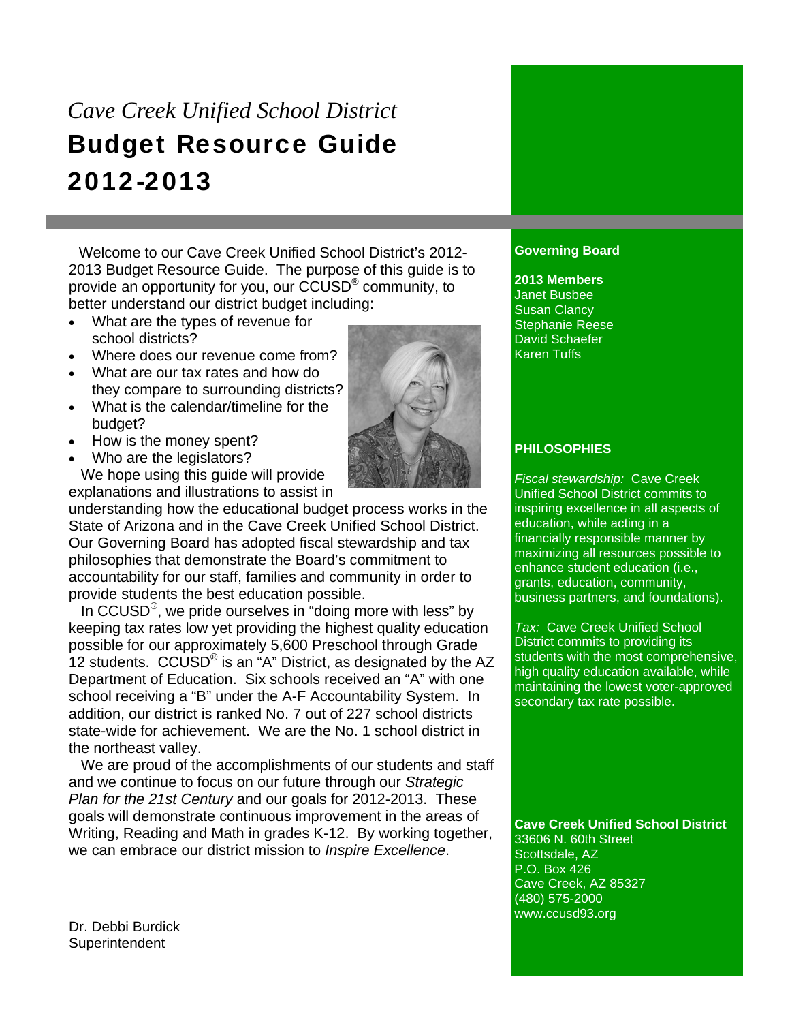# *Cave Creek Unified School District*  Budget Resource Guide 2012-2013

 Welcome to our Cave Creek Unified School District's 2012- 2013 Budget Resource Guide. The purpose of this guide is to provide an opportunity for you, our CCUSD® community, to better understand our district budget including:

- What are the types of revenue for school districts?
- Where does our revenue come from?
- What are our tax rates and how do they compare to surrounding districts?
- What is the calendar/timeline for the budget?
- How is the money spent?
- Who are the legislators?

 We hope using this guide will provide explanations and illustrations to assist in

understanding how the educational budget process works in the State of Arizona and in the Cave Creek Unified School District. Our Governing Board has adopted fiscal stewardship and tax philosophies that demonstrate the Board's commitment to accountability for our staff, families and community in order to provide students the best education possible.

In CCUSD<sup>®</sup>, we pride ourselves in "doing more with less" by keeping tax rates low yet providing the highest quality education possible for our approximately 5,600 Preschool through Grade 12 students.  $CCUSD^{\circ}$  is an "A" District, as designated by the AZ Department of Education. Six schools received an "A" with one school receiving a "B" under the A-F Accountability System. In addition, our district is ranked No. 7 out of 227 school districts state-wide for achievement. We are the No. 1 school district in the northeast valley.

 We are proud of the accomplishments of our students and staff and we continue to focus on our future through our *Strategic Plan for the 21st Century* and our goals for 2012-2013. These goals will demonstrate continuous improvement in the areas of Writing, Reading and Math in grades K-12. By working together, we can embrace our district mission to *Inspire Excellence*.

# **Governing Board**

**2013 Members**  Janet Busbee Susan Clancy Stephanie Reese David Schaefer Karen Tuffs

# **PHILOSOPHIES**

*Fiscal stewardship:* Cave Creek Unified School District commits to inspiring excellence in all aspects of education, while acting in a financially responsible manner by maximizing all resources possible to enhance student education (i.e., grants, education, community, business partners, and foundations).

*Tax:* Cave Creek Unified School District commits to providing its students with the most comprehensive, high quality education available, while maintaining the lowest voter-approved secondary tax rate possible.

# **Cave Creek Unified School District**

33606 N. 60th Street Scottsdale, AZ P.O. Box 426 Cave Creek, AZ 85327 (480) 575-2000 www.ccusd93.org

Dr. Debbi Burdick **Superintendent** 

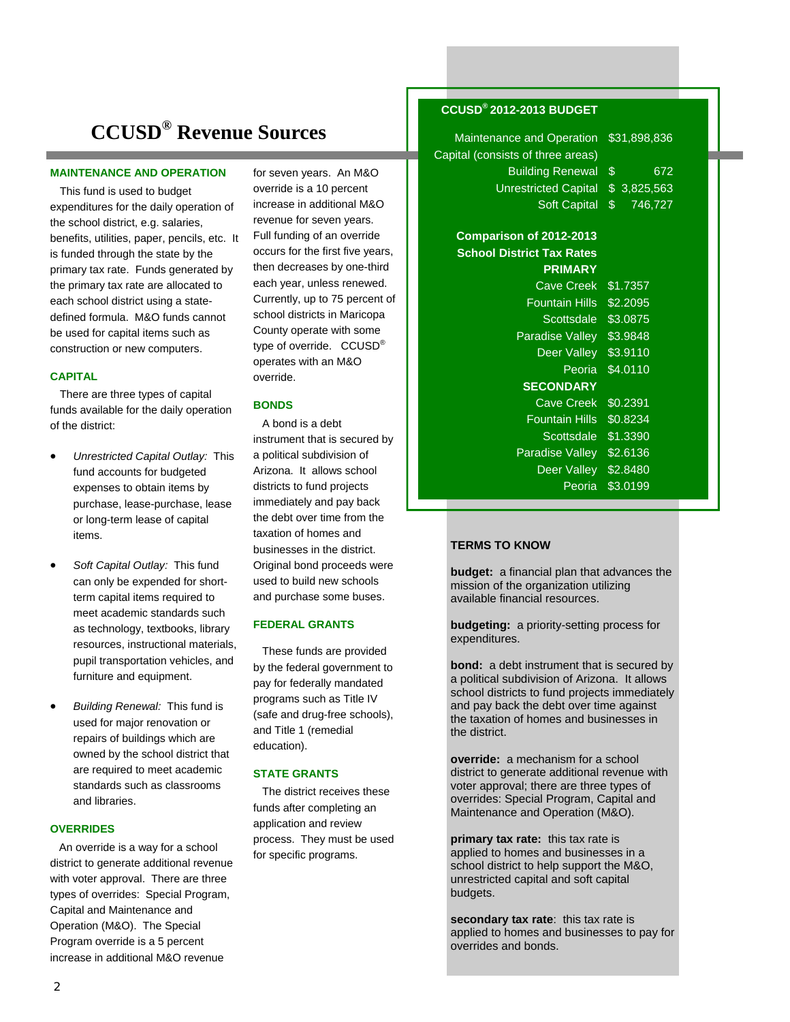# **CCUSD® Revenue Sources**

#### **MAINTENANCE AND OPERATION**

 This fund is used to budget expenditures for the daily operation of the school district, e.g. salaries, benefits, utilities, paper, pencils, etc. It is funded through the state by the primary tax rate. Funds generated by the primary tax rate are allocated to each school district using a statedefined formula. M&O funds cannot be used for capital items such as construction or new computers.

#### **CAPITAL**

 There are three types of capital funds available for the daily operation of the district:

- *Unrestricted Capital Outlay:* This fund accounts for budgeted expenses to obtain items by purchase, lease-purchase, lease or long-term lease of capital items.
- *Soft Capital Outlay:* This fund can only be expended for shortterm capital items required to meet academic standards such as technology, textbooks, library resources, instructional materials, pupil transportation vehicles, and furniture and equipment.
- *Building Renewal:* This fund is used for major renovation or repairs of buildings which are owned by the school district that are required to meet academic standards such as classrooms and libraries.

#### **OVERRIDES**

 An override is a way for a school district to generate additional revenue with voter approval. There are three types of overrides: Special Program, Capital and Maintenance and Operation (M&O). The Special Program override is a 5 percent increase in additional M&O revenue

for seven years. An M&O override is a 10 percent increase in additional M&O revenue for seven years. Full funding of an override occurs for the first five years, then decreases by one-third each year, unless renewed. Currently, up to 75 percent of school districts in Maricopa County operate with some type of override. CCUSD<sup>®</sup> operates with an M&O override.

#### **BONDS**

 A bond is a debt instrument that is secured by a political subdivision of Arizona. It allows school districts to fund projects immediately and pay back the debt over time from the taxation of homes and businesses in the district. Original bond proceeds were used to build new schools and purchase some buses.

#### **FEDERAL GRANTS**

 These funds are provided by the federal government to pay for federally mandated programs such as Title IV (safe and drug-free schools), and Title 1 (remedial education).

#### **STATE GRANTS**

 The district receives these funds after completing an application and review process. They must be used for specific programs.

## **CCUSD® 2012-2013 BUDGET**

Cap

| Maintenance and Operation        | \$31,898,836         |  |  |
|----------------------------------|----------------------|--|--|
| ital (consists of three areas)   |                      |  |  |
| <b>Building Renewal</b>          | $\frac{1}{2}$<br>672 |  |  |
| <b>Unrestricted Capital</b>      | \$<br>3,825,563      |  |  |
| Soft Capital                     | \$<br>746,727        |  |  |
| Comparison of 2012-2013          |                      |  |  |
| <b>School District Tax Rates</b> |                      |  |  |
| <b>PRIMARY</b>                   |                      |  |  |
| <b>Cave Creek</b>                | \$1.7357             |  |  |
| <b>Fountain Hills</b>            | \$2.2095             |  |  |
| Scottsdale                       | \$3.0875             |  |  |
| Paradise Valley                  | \$3.9848             |  |  |
| Deer Valley                      | \$3.9110             |  |  |
| Peoria                           | \$4.0110             |  |  |
| <b>SECONDARY</b>                 |                      |  |  |
| <b>Cave Creek</b>                | \$0.2391             |  |  |
| <b>Fountain Hills</b>            | \$0.8234             |  |  |
| Scottsdale                       | \$1.3390             |  |  |
| Paradise Valley                  | \$2.6136             |  |  |
| Deer Valley                      | \$2.8480             |  |  |
| Peoria                           | \$3.0199             |  |  |

### **TERMS TO KNOW**

**budget:** a financial plan that advances the mission of the organization utilizing available financial resources.

Ī

**budgeting:** a priority-setting process for expenditures.

**bond:** a debt instrument that is secured by a political subdivision of Arizona. It allows school districts to fund projects immediately and pay back the debt over time against the taxation of homes and businesses in the district.

**override:** a mechanism for a school district to generate additional revenue with voter approval; there are three types of overrides: Special Program, Capital and Maintenance and Operation (M&O).

**primary tax rate:** this tax rate is applied to homes and businesses in a school district to help support the M&O, unrestricted capital and soft capital budgets.

**secondary tax rate**: this tax rate is applied to homes and businesses to pay for overrides and bonds.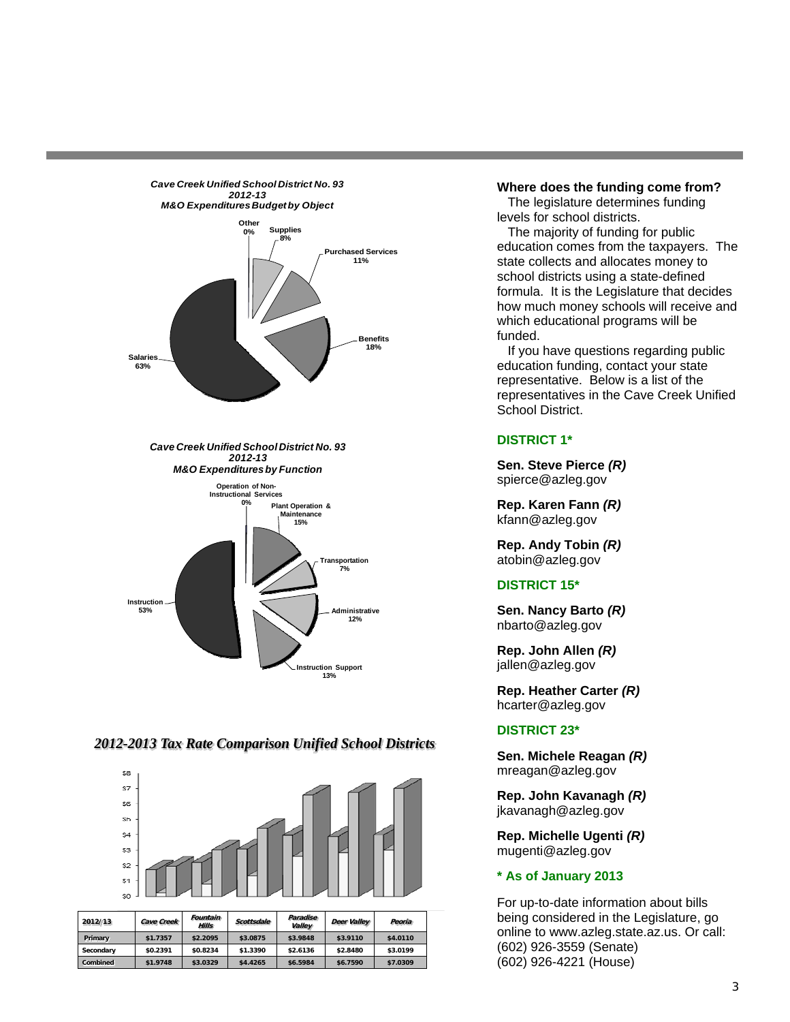

# *2012-2013 Tax Rate Comparison Unified School Districts*

**13%**



| 2012/13         | <b>Cave Creek</b> | Fountain<br>Hills | Scottsdale | Paradise<br>Valley | Deer Valley | Peoria   |
|-----------------|-------------------|-------------------|------------|--------------------|-------------|----------|
| Primary         | \$1.7357          | \$2.2095          | \$3.0875   | \$3.9848           | \$3,9110    | \$4,0110 |
| Secondary       | \$0.2391          | \$0.8234          | \$1.3390   | \$2.6136           | \$2,8480    | \$3.0199 |
| <b>Combined</b> | \$1.9748          | \$3.0329          | \$4,4265   | \$6.5984           | \$6.7590    | \$7.0309 |

#### **Where does the funding come from?**

 The legislature determines funding levels for school districts.

 The majority of funding for public education comes from the taxpayers. The state collects and allocates money to school districts using a state-defined formula. It is the Legislature that decides how much money schools will receive and which educational programs will be funded.

 If you have questions regarding public education funding, contact your state representative. Below is a list of the representatives in the Cave Creek Unified School District.

# **DISTRICT 1\***

**Sen. Steve Pierce** *(R)* spierce@azleg.gov

**Rep. Karen Fann** *(R)* kfann@azleg.gov

**Rep. Andy Tobin** *(R)* atobin@azleg.gov

## **DISTRICT 15\***

**Sen. Nancy Barto** *(R)* nbarto@azleg.gov

**Rep. John Allen** *(R)* jallen@azleg.gov

**Rep. Heather Carter** *(R)* hcarter@azleg.gov

# **DISTRICT 23\***

**Sen. Michele Reagan** *(R)* mreagan@azleg.gov

**Rep. John Kavanagh** *(R)* jkavanagh@azleg.gov

**Rep. Michelle Ugenti** *(R)* mugenti@azleg.gov

#### **\* As of January 2013**

For up-to-date information about bills being considered in the Legislature, go online to www.azleg.state.az.us. Or call: (602) 926-3559 (Senate) (602) 926-4221 (House)